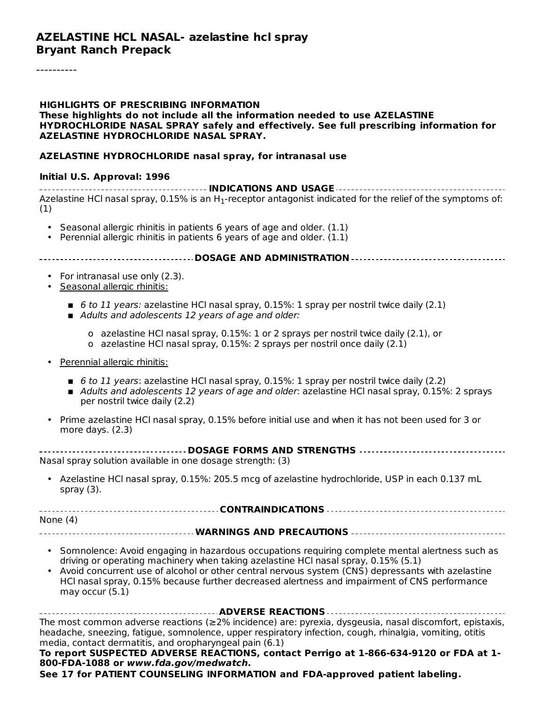#### **HIGHLIGHTS OF PRESCRIBING INFORMATION These highlights do not include all the information needed to use AZELASTINE HYDROCHLORIDE NASAL SPRAY safely and effectively. See full prescribing information for AZELASTINE HYDROCHLORIDE NASAL SPRAY.**

#### **AZELASTINE HYDROCHLORIDE nasal spray, for intranasal use**

#### **Initial U.S. Approval: 1996**

**INDICATIONS AND USAGE** Azelastine HCl nasal spray, 0.15% is an H $_{\rm 1}$ -receptor antagonist indicated for the relief of the symptoms of: (1)

- Seasonal allergic rhinitis in patients 6 years of age and older. (1.1)
- Perennial allergic rhinitis in patients 6 years of age and older. (1.1)

#### **DOSAGE AND ADMINISTRATION**

- For intranasal use only (2.3).
- Seasonal allergic rhinitis:
	- $\blacksquare$  6 to 11 years: azelastine HCl nasal spray, 0.15%: 1 spray per nostril twice daily (2.1)
	- Adults and adolescents 12 years of age and older:
		- o azelastine HCl nasal spray, 0.15%: 1 or 2 sprays per nostril twice daily (2.1), or
		- o azelastine HCl nasal spray, 0.15%: 2 sprays per nostril once daily (2.1)
- Perennial allergic rhinitis:
	- 6 to 11 years: azelastine HCl nasal spray, 0.15%: 1 spray per nostril twice daily (2.2)
	- Adults and adolescents 12 years of age and older: azelastine HCl nasal spray, 0.15%: 2 sprays per nostril twice daily (2.2)
- Prime azelastine HCl nasal spray, 0.15% before initial use and when it has not been used for 3 or more days. (2.3)

| Nasal spray solution available in one dosage strength: (3) |
|------------------------------------------------------------|

• Azelastine HCl nasal spray, 0.15%: 205.5 mcg of azelastine hydrochloride, USP in each 0.137 mL spray (3).

**CONTRAINDICATIONS** None (4)

- **WARNINGS AND PRECAUTIONS**
	- Somnolence: Avoid engaging in hazardous occupations requiring complete mental alertness such as driving or operating machinery when taking azelastine HCl nasal spray, 0.15% (5.1)
	- Avoid concurrent use of alcohol or other central nervous system (CNS) depressants with azelastine HCl nasal spray, 0.15% because further decreased alertness and impairment of CNS performance may occur (5.1)

**ADVERSE REACTIONS** The most common adverse reactions (≥2% incidence) are: pyrexia, dysgeusia, nasal discomfort, epistaxis, headache, sneezing, fatigue, somnolence, upper respiratory infection, cough, rhinalgia, vomiting, otitis media, contact dermatitis, and oropharyngeal pain (6.1)

#### **To report SUSPECTED ADVERSE REACTIONS, contact Perrigo at 1-866-634-9120 or FDA at 1- 800-FDA-1088 or www.fda.gov/medwatch.**

**See 17 for PATIENT COUNSELING INFORMATION and FDA-approved patient labeling.**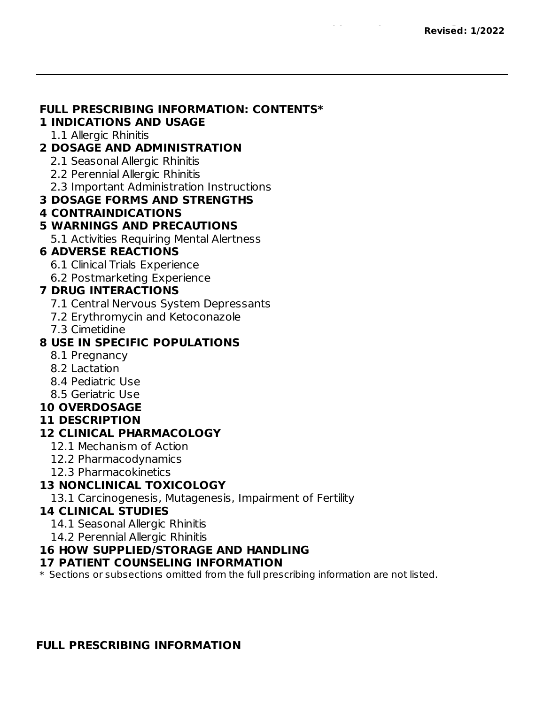#### **FULL PRESCRIBING INFORMATION: CONTENTS\***

#### **1 INDICATIONS AND USAGE**

1.1 Allergic Rhinitis

#### **2 DOSAGE AND ADMINISTRATION**

- 2.1 Seasonal Allergic Rhinitis
- 2.2 Perennial Allergic Rhinitis
- 2.3 Important Administration Instructions

#### **3 DOSAGE FORMS AND STRENGTHS**

**4 CONTRAINDICATIONS**

### **5 WARNINGS AND PRECAUTIONS**

5.1 Activities Requiring Mental Alertness

#### **6 ADVERSE REACTIONS**

- 6.1 Clinical Trials Experience
- 6.2 Postmarketing Experience

### **7 DRUG INTERACTIONS**

- 7.1 Central Nervous System Depressants
- 7.2 Erythromycin and Ketoconazole
- 7.3 Cimetidine

### **8 USE IN SPECIFIC POPULATIONS**

- 8.1 Pregnancy
- 8.2 Lactation
- 8.4 Pediatric Use
- 8.5 Geriatric Use
- **10 OVERDOSAGE**

#### **11 DESCRIPTION**

### **12 CLINICAL PHARMACOLOGY**

- 12.1 Mechanism of Action
- 12.2 Pharmacodynamics
- 12.3 Pharmacokinetics

### **13 NONCLINICAL TOXICOLOGY**

13.1 Carcinogenesis, Mutagenesis, Impairment of Fertility

#### **14 CLINICAL STUDIES**

14.1 Seasonal Allergic Rhinitis

14.2 Perennial Allergic Rhinitis

#### **16 HOW SUPPLIED/STORAGE AND HANDLING**

#### **17 PATIENT COUNSELING INFORMATION**

 $\ast$  Sections or subsections omitted from the full prescribing information are not listed.

#### **FULL PRESCRIBING INFORMATION**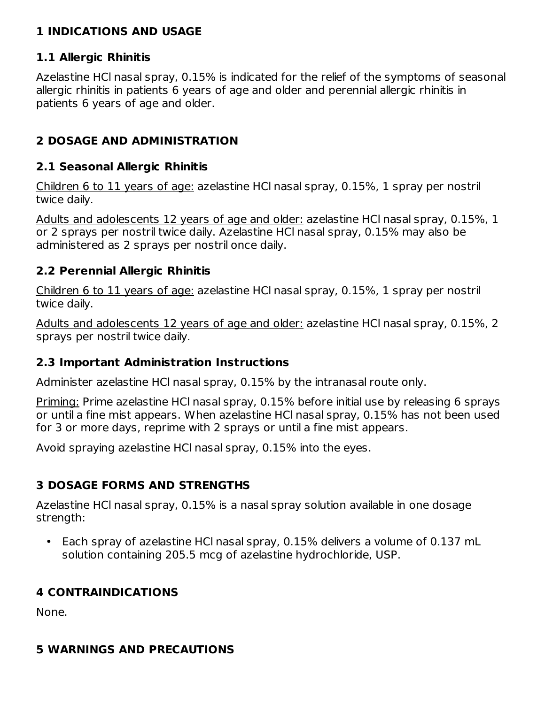### **1 INDICATIONS AND USAGE**

### **1.1 Allergic Rhinitis**

Azelastine HCl nasal spray, 0.15% is indicated for the relief of the symptoms of seasonal allergic rhinitis in patients 6 years of age and older and perennial allergic rhinitis in patients 6 years of age and older.

# **2 DOSAGE AND ADMINISTRATION**

#### **2.1 Seasonal Allergic Rhinitis**

Children 6 to 11 years of age: azelastine HCl nasal spray, 0.15%, 1 spray per nostril twice daily.

Adults and adolescents 12 years of age and older: azelastine HCl nasal spray, 0.15%, 1 or 2 sprays per nostril twice daily. Azelastine HCl nasal spray, 0.15% may also be administered as 2 sprays per nostril once daily.

### **2.2 Perennial Allergic Rhinitis**

Children 6 to 11 years of age: azelastine HCl nasal spray, 0.15%, 1 spray per nostril twice daily.

Adults and adolescents 12 years of age and older: azelastine HCl nasal spray, 0.15%, 2 sprays per nostril twice daily.

#### **2.3 Important Administration Instructions**

Administer azelastine HCl nasal spray, 0.15% by the intranasal route only.

Priming: Prime azelastine HCl nasal spray, 0.15% before initial use by releasing 6 sprays or until a fine mist appears. When azelastine HCl nasal spray, 0.15% has not been used for 3 or more days, reprime with 2 sprays or until a fine mist appears.

Avoid spraying azelastine HCl nasal spray, 0.15% into the eyes.

### **3 DOSAGE FORMS AND STRENGTHS**

Azelastine HCl nasal spray, 0.15% is a nasal spray solution available in one dosage strength:

• Each spray of azelastine HCl nasal spray, 0.15% delivers a volume of 0.137 mL solution containing 205.5 mcg of azelastine hydrochloride, USP.

### **4 CONTRAINDICATIONS**

None.

# **5 WARNINGS AND PRECAUTIONS**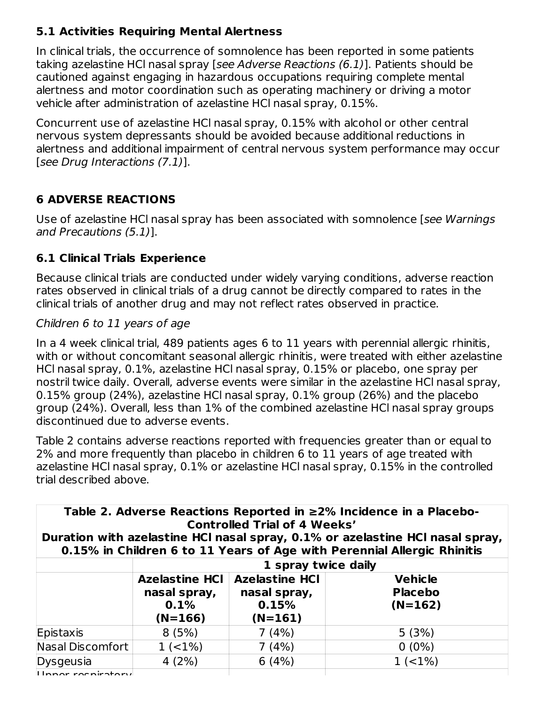# **5.1 Activities Requiring Mental Alertness**

In clinical trials, the occurrence of somnolence has been reported in some patients taking azelastine HCl nasal spray [see Adverse Reactions (6.1)]. Patients should be cautioned against engaging in hazardous occupations requiring complete mental alertness and motor coordination such as operating machinery or driving a motor vehicle after administration of azelastine HCl nasal spray, 0.15%.

Concurrent use of azelastine HCl nasal spray, 0.15% with alcohol or other central nervous system depressants should be avoided because additional reductions in alertness and additional impairment of central nervous system performance may occur [see Drug Interactions (7.1)].

# **6 ADVERSE REACTIONS**

Use of azelastine HCl nasal spray has been associated with somnolence [see Warnings and Precautions (5.1)].

### **6.1 Clinical Trials Experience**

Because clinical trials are conducted under widely varying conditions, adverse reaction rates observed in clinical trials of a drug cannot be directly compared to rates in the clinical trials of another drug and may not reflect rates observed in practice.

#### Children 6 to 11 years of age

In a 4 week clinical trial, 489 patients ages 6 to 11 years with perennial allergic rhinitis, with or without concomitant seasonal allergic rhinitis, were treated with either azelastine HCl nasal spray, 0.1%, azelastine HCl nasal spray, 0.15% or placebo, one spray per nostril twice daily. Overall, adverse events were similar in the azelastine HCl nasal spray, 0.15% group (24%), azelastine HCl nasal spray, 0.1% group (26%) and the placebo group (24%). Overall, less than 1% of the combined azelastine HCl nasal spray groups discontinued due to adverse events.

Table 2 contains adverse reactions reported with frequencies greater than or equal to 2% and more frequently than placebo in children 6 to 11 years of age treated with azelastine HCl nasal spray, 0.1% or azelastine HCl nasal spray, 0.15% in the controlled trial described above.

| Table 2. Adverse Reactions Reported in $\geq$ 2% Incidence in a Placebo- |
|--------------------------------------------------------------------------|
| <b>Controlled Trial of 4 Weeks'</b>                                      |

**Duration with azelastine HCl nasal spray, 0.1% or azelastine HCl nasal spray, 0.15% in Children 6 to 11 Years of Age with Perennial Allergic Rhinitis**

|                    | 1 spray twice daily                                        |                                                             |                                               |  |  |  |
|--------------------|------------------------------------------------------------|-------------------------------------------------------------|-----------------------------------------------|--|--|--|
|                    | <b>Azelastine HCI</b><br>nasal spray,<br>0.1%<br>$(N=166)$ | <b>Azelastine HCI</b><br>nasal spray,<br>0.15%<br>$(N=161)$ | <b>Vehicle</b><br><b>Placebo</b><br>$(N=162)$ |  |  |  |
| Epistaxis          | 8(5%)                                                      | 7(4%)                                                       | 5(3%)                                         |  |  |  |
| Nasal Discomfort   | $1 (-1%)$                                                  | 7(4%)                                                       | $0(0\%)$                                      |  |  |  |
| Dysgeusia          | 4(2%)                                                      | 6(4%)                                                       | $1 (-1%)$                                     |  |  |  |
| Ilnnor rocniratoru |                                                            |                                                             |                                               |  |  |  |

Upper respiratory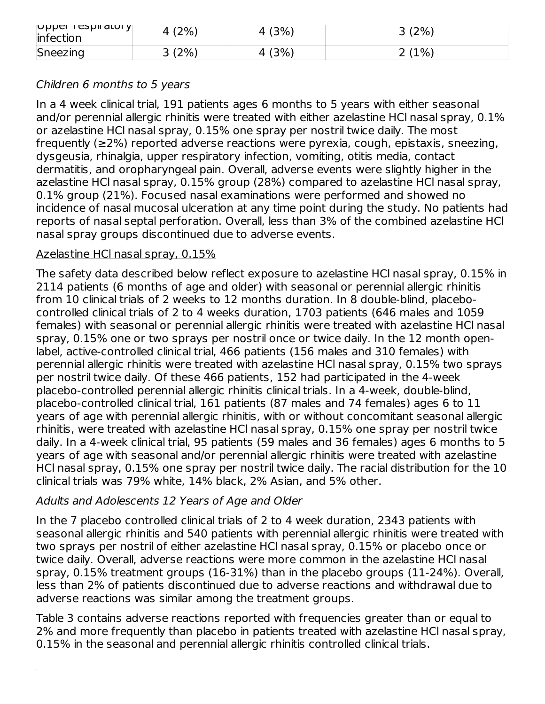| $ $ ohha Lazhi aroi $\lambda$<br>infection | (2%  | . (3%) | (2%)<br>ັ |
|--------------------------------------------|------|--------|-----------|
| Sneezing                                   | 3(2% | $'3\%$ | (1%)<br>- |

#### Children 6 months to 5 years

In a 4 week clinical trial, 191 patients ages 6 months to 5 years with either seasonal and/or perennial allergic rhinitis were treated with either azelastine HCl nasal spray, 0.1% or azelastine HCl nasal spray, 0.15% one spray per nostril twice daily. The most frequently (≥2%) reported adverse reactions were pyrexia, cough, epistaxis, sneezing, dysgeusia, rhinalgia, upper respiratory infection, vomiting, otitis media, contact dermatitis, and oropharyngeal pain. Overall, adverse events were slightly higher in the azelastine HCl nasal spray, 0.15% group (28%) compared to azelastine HCl nasal spray, 0.1% group (21%). Focused nasal examinations were performed and showed no incidence of nasal mucosal ulceration at any time point during the study. No patients had reports of nasal septal perforation. Overall, less than 3% of the combined azelastine HCl nasal spray groups discontinued due to adverse events.

#### Azelastine HCl nasal spray, 0.15%

The safety data described below reflect exposure to azelastine HCl nasal spray, 0.15% in 2114 patients (6 months of age and older) with seasonal or perennial allergic rhinitis from 10 clinical trials of 2 weeks to 12 months duration. In 8 double-blind, placebocontrolled clinical trials of 2 to 4 weeks duration, 1703 patients (646 males and 1059 females) with seasonal or perennial allergic rhinitis were treated with azelastine HCl nasal spray, 0.15% one or two sprays per nostril once or twice daily. In the 12 month openlabel, active-controlled clinical trial, 466 patients (156 males and 310 females) with perennial allergic rhinitis were treated with azelastine HCl nasal spray, 0.15% two sprays per nostril twice daily. Of these 466 patients, 152 had participated in the 4-week placebo-controlled perennial allergic rhinitis clinical trials. In a 4-week, double-blind, placebo-controlled clinical trial, 161 patients (87 males and 74 females) ages 6 to 11 years of age with perennial allergic rhinitis, with or without concomitant seasonal allergic rhinitis, were treated with azelastine HCl nasal spray, 0.15% one spray per nostril twice daily. In a 4-week clinical trial, 95 patients (59 males and 36 females) ages 6 months to 5 years of age with seasonal and/or perennial allergic rhinitis were treated with azelastine HCl nasal spray, 0.15% one spray per nostril twice daily. The racial distribution for the 10 clinical trials was 79% white, 14% black, 2% Asian, and 5% other.

#### Adults and Adolescents 12 Years of Age and Older

In the 7 placebo controlled clinical trials of 2 to 4 week duration, 2343 patients with seasonal allergic rhinitis and 540 patients with perennial allergic rhinitis were treated with two sprays per nostril of either azelastine HCl nasal spray, 0.15% or placebo once or twice daily. Overall, adverse reactions were more common in the azelastine HCl nasal spray, 0.15% treatment groups (16-31%) than in the placebo groups (11-24%). Overall, less than 2% of patients discontinued due to adverse reactions and withdrawal due to adverse reactions was similar among the treatment groups.

Table 3 contains adverse reactions reported with frequencies greater than or equal to 2% and more frequently than placebo in patients treated with azelastine HCl nasal spray, 0.15% in the seasonal and perennial allergic rhinitis controlled clinical trials.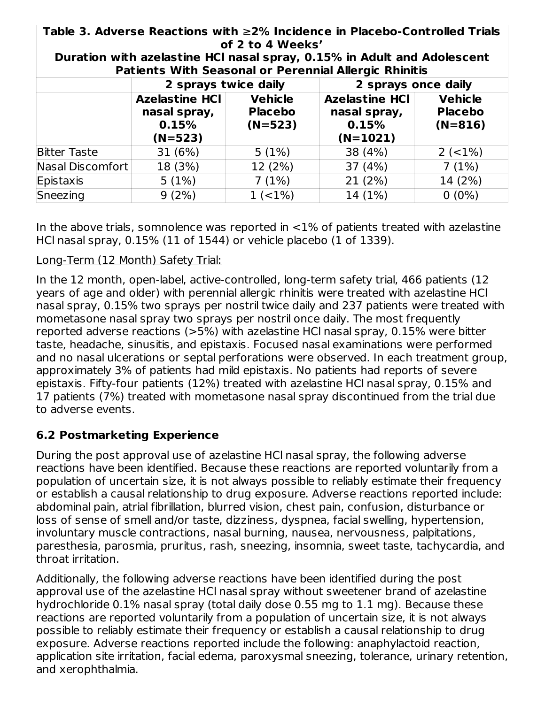**Table 3. Adverse Reactions with** ≥**2% Incidence in Placebo-Controlled Trials of 2 to 4 Weeks'**

|                     | 2 sprays twice daily                                        |                                               | 2 sprays once daily                                          |                                               |  |
|---------------------|-------------------------------------------------------------|-----------------------------------------------|--------------------------------------------------------------|-----------------------------------------------|--|
|                     | <b>Azelastine HCI</b><br>nasal spray,<br>0.15%<br>$(N=523)$ | <b>Vehicle</b><br><b>Placebo</b><br>$(N=523)$ | <b>Azelastine HCI</b><br>nasal spray,<br>0.15%<br>$(N=1021)$ | <b>Vehicle</b><br><b>Placebo</b><br>$(N=816)$ |  |
| <b>Bitter Taste</b> | 31(6%)                                                      | 5(1%)                                         | 38 (4%)                                                      | $2 (-1%)$                                     |  |
| Nasal Discomfort    | 18 (3%)                                                     | 12 (2%)                                       | 37(4%)                                                       | 7(1%)                                         |  |
| Epistaxis           | 5(1%)                                                       | 7(1%)                                         | 21(2%)                                                       | 14 (2%)                                       |  |
| Sneezing            | 9(2%)                                                       | $1 (-1%)$                                     | 14 (1%)                                                      | $0(0\%)$                                      |  |

**Duration with azelastine HCl nasal spray, 0.15% in Adult and Adolescent Patients With Seasonal or Perennial Allergic Rhinitis**

In the above trials, somnolence was reported in  $\langle 1\%$  of patients treated with azelastine HCl nasal spray, 0.15% (11 of 1544) or vehicle placebo (1 of 1339).

### Long-Term (12 Month) Safety Trial:

In the 12 month, open-label, active-controlled, long-term safety trial, 466 patients (12 years of age and older) with perennial allergic rhinitis were treated with azelastine HCl nasal spray, 0.15% two sprays per nostril twice daily and 237 patients were treated with mometasone nasal spray two sprays per nostril once daily. The most frequently reported adverse reactions (>5%) with azelastine HCl nasal spray, 0.15% were bitter taste, headache, sinusitis, and epistaxis. Focused nasal examinations were performed and no nasal ulcerations or septal perforations were observed. In each treatment group, approximately 3% of patients had mild epistaxis. No patients had reports of severe epistaxis. Fifty-four patients (12%) treated with azelastine HCl nasal spray, 0.15% and 17 patients (7%) treated with mometasone nasal spray discontinued from the trial due to adverse events.

# **6.2 Postmarketing Experience**

During the post approval use of azelastine HCl nasal spray, the following adverse reactions have been identified. Because these reactions are reported voluntarily from a population of uncertain size, it is not always possible to reliably estimate their frequency or establish a causal relationship to drug exposure. Adverse reactions reported include: abdominal pain, atrial fibrillation, blurred vision, chest pain, confusion, disturbance or loss of sense of smell and/or taste, dizziness, dyspnea, facial swelling, hypertension, involuntary muscle contractions, nasal burning, nausea, nervousness, palpitations, paresthesia, parosmia, pruritus, rash, sneezing, insomnia, sweet taste, tachycardia, and throat irritation.

Additionally, the following adverse reactions have been identified during the post approval use of the azelastine HCl nasal spray without sweetener brand of azelastine hydrochloride 0.1% nasal spray (total daily dose 0.55 mg to 1.1 mg). Because these reactions are reported voluntarily from a population of uncertain size, it is not always possible to reliably estimate their frequency or establish a causal relationship to drug exposure. Adverse reactions reported include the following: anaphylactoid reaction, application site irritation, facial edema, paroxysmal sneezing, tolerance, urinary retention, and xerophthalmia.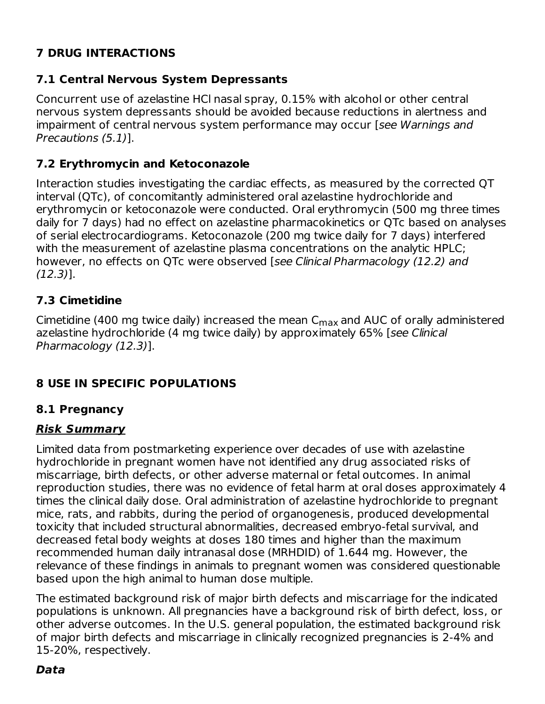# **7 DRUG INTERACTIONS**

# **7.1 Central Nervous System Depressants**

Concurrent use of azelastine HCl nasal spray, 0.15% with alcohol or other central nervous system depressants should be avoided because reductions in alertness and impairment of central nervous system performance may occur [see Warnings and Precautions (5.1)].

## **7.2 Erythromycin and Ketoconazole**

Interaction studies investigating the cardiac effects, as measured by the corrected QT interval (QTc), of concomitantly administered oral azelastine hydrochloride and erythromycin or ketoconazole were conducted. Oral erythromycin (500 mg three times daily for 7 days) had no effect on azelastine pharmacokinetics or QTc based on analyses of serial electrocardiograms. Ketoconazole (200 mg twice daily for 7 days) interfered with the measurement of azelastine plasma concentrations on the analytic HPLC; however, no effects on QTc were observed [see Clinical Pharmacology (12.2) and (12.3)].

# **7.3 Cimetidine**

Cimetidine (400 mg twice daily) increased the mean  $\mathsf{C}_{\mathsf{max}}$  and AUC of orally administered azelastine hydrochloride (4 mg twice daily) by approximately 65% [see Clinical Pharmacology (12.3)].

# **8 USE IN SPECIFIC POPULATIONS**

### **8.1 Pregnancy**

### **Risk Summary**

Limited data from postmarketing experience over decades of use with azelastine hydrochloride in pregnant women have not identified any drug associated risks of miscarriage, birth defects, or other adverse maternal or fetal outcomes. In animal reproduction studies, there was no evidence of fetal harm at oral doses approximately 4 times the clinical daily dose. Oral administration of azelastine hydrochloride to pregnant mice, rats, and rabbits, during the period of organogenesis, produced developmental toxicity that included structural abnormalities, decreased embryo-fetal survival, and decreased fetal body weights at doses 180 times and higher than the maximum recommended human daily intranasal dose (MRHDID) of 1.644 mg. However, the relevance of these findings in animals to pregnant women was considered questionable based upon the high animal to human dose multiple.

The estimated background risk of major birth defects and miscarriage for the indicated populations is unknown. All pregnancies have a background risk of birth defect, loss, or other adverse outcomes. In the U.S. general population, the estimated background risk of major birth defects and miscarriage in clinically recognized pregnancies is 2-4% and 15-20%, respectively.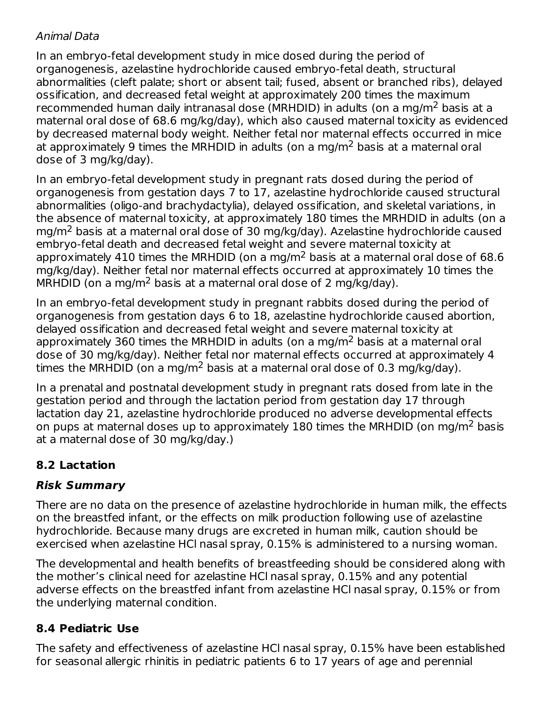### Animal Data

In an embryo-fetal development study in mice dosed during the period of organogenesis, azelastine hydrochloride caused embryo-fetal death, structural abnormalities (cleft palate; short or absent tail; fused, absent or branched ribs), delayed ossification, and decreased fetal weight at approximately 200 times the maximum recommended human daily intranasal dose (MRHDID) in adults (on a mg/m<sup>2</sup> basis at a maternal oral dose of 68.6 mg/kg/day), which also caused maternal toxicity as evidenced by decreased maternal body weight. Neither fetal nor maternal effects occurred in mice at approximately 9 times the MRHDID in adults (on a mg/m<sup>2</sup> basis at a maternal oral dose of 3 mg/kg/day).

In an embryo-fetal development study in pregnant rats dosed during the period of organogenesis from gestation days 7 to 17, azelastine hydrochloride caused structural abnormalities (oligo-and brachydactylia), delayed ossification, and skeletal variations, in the absence of maternal toxicity, at approximately 180 times the MRHDID in adults (on a mg/m<sup>2</sup> basis at a maternal oral dose of 30 mg/kg/day). Azelastine hydrochloride caused embryo-fetal death and decreased fetal weight and severe maternal toxicity at approximately 410 times the MRHDID (on a mg/m<sup>2</sup> basis at a maternal oral dose of 68.6 mg/kg/day). Neither fetal nor maternal effects occurred at approximately 10 times the  $MRHDID$  (on a mg/m<sup>2</sup> basis at a maternal oral dose of 2 mg/kg/day).

In an embryo-fetal development study in pregnant rabbits dosed during the period of organogenesis from gestation days 6 to 18, azelastine hydrochloride caused abortion, delayed ossification and decreased fetal weight and severe maternal toxicity at approximately 360 times the MRHDID in adults (on a mg/m<sup>2</sup> basis at a maternal oral dose of 30 mg/kg/day). Neither fetal nor maternal effects occurred at approximately 4 times the MRHDID (on a mg/m<sup>2</sup> basis at a maternal oral dose of 0.3 mg/kg/day).

In a prenatal and postnatal development study in pregnant rats dosed from late in the gestation period and through the lactation period from gestation day 17 through lactation day 21, azelastine hydrochloride produced no adverse developmental effects on pups at maternal doses up to approximately 180 times the MRHDID (on mg/m<sup>2</sup> basis at a maternal dose of 30 mg/kg/day.)

# **8.2 Lactation**

# **Risk Summary**

There are no data on the presence of azelastine hydrochloride in human milk, the effects on the breastfed infant, or the effects on milk production following use of azelastine hydrochloride. Because many drugs are excreted in human milk, caution should be exercised when azelastine HCl nasal spray, 0.15% is administered to a nursing woman.

The developmental and health benefits of breastfeeding should be considered along with the mother's clinical need for azelastine HCl nasal spray, 0.15% and any potential adverse effects on the breastfed infant from azelastine HCl nasal spray, 0.15% or from the underlying maternal condition.

# **8.4 Pediatric Use**

The safety and effectiveness of azelastine HCl nasal spray, 0.15% have been established for seasonal allergic rhinitis in pediatric patients 6 to 17 years of age and perennial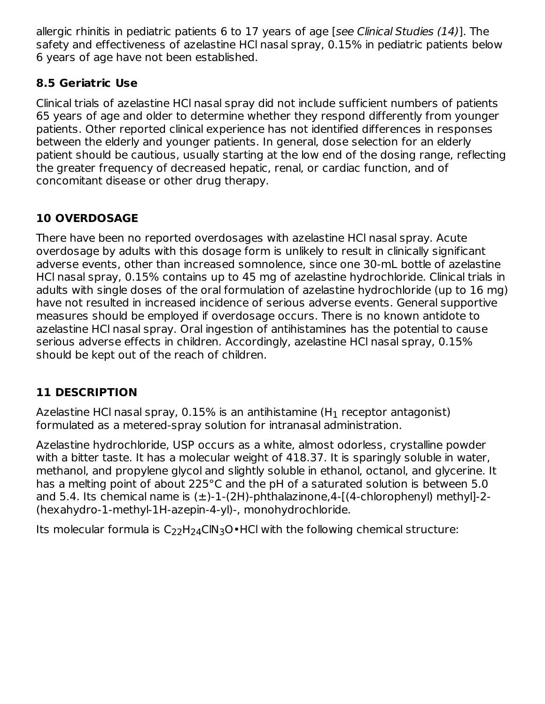allergic rhinitis in pediatric patients 6 to 17 years of age [see Clinical Studies (14)]. The safety and effectiveness of azelastine HCl nasal spray, 0.15% in pediatric patients below 6 years of age have not been established.

# **8.5 Geriatric Use**

Clinical trials of azelastine HCl nasal spray did not include sufficient numbers of patients 65 years of age and older to determine whether they respond differently from younger patients. Other reported clinical experience has not identified differences in responses between the elderly and younger patients. In general, dose selection for an elderly patient should be cautious, usually starting at the low end of the dosing range, reflecting the greater frequency of decreased hepatic, renal, or cardiac function, and of concomitant disease or other drug therapy.

# **10 OVERDOSAGE**

There have been no reported overdosages with azelastine HCl nasal spray. Acute overdosage by adults with this dosage form is unlikely to result in clinically significant adverse events, other than increased somnolence, since one 30-mL bottle of azelastine HCl nasal spray, 0.15% contains up to 45 mg of azelastine hydrochloride. Clinical trials in adults with single doses of the oral formulation of azelastine hydrochloride (up to 16 mg) have not resulted in increased incidence of serious adverse events. General supportive measures should be employed if overdosage occurs. There is no known antidote to azelastine HCl nasal spray. Oral ingestion of antihistamines has the potential to cause serious adverse effects in children. Accordingly, azelastine HCl nasal spray, 0.15% should be kept out of the reach of children.

# **11 DESCRIPTION**

Azelastine HCl nasal spray, 0.15% is an antihistamine (H $_{\rm 1}$  receptor antagonist) formulated as a metered-spray solution for intranasal administration.

Azelastine hydrochloride, USP occurs as a white, almost odorless, crystalline powder with a bitter taste. It has a molecular weight of 418.37. It is sparingly soluble in water, methanol, and propylene glycol and slightly soluble in ethanol, octanol, and glycerine. It has a melting point of about 225°C and the pH of a saturated solution is between 5.0 and 5.4. Its chemical name is  $(\pm)$ -1- $(2H)$ -phthalazinone,4- $[(4$ -chlorophenyl) methyl]-2-(hexahydro-1-methyl-1H-azepin-4-yl)-, monohydrochloride.

Its molecular formula is  $\mathsf{C}_{22}\mathsf{H}_{24}\mathsf{CIN}_{3}\mathsf{O}\bullet\mathsf{HCl}$  with the following chemical structure: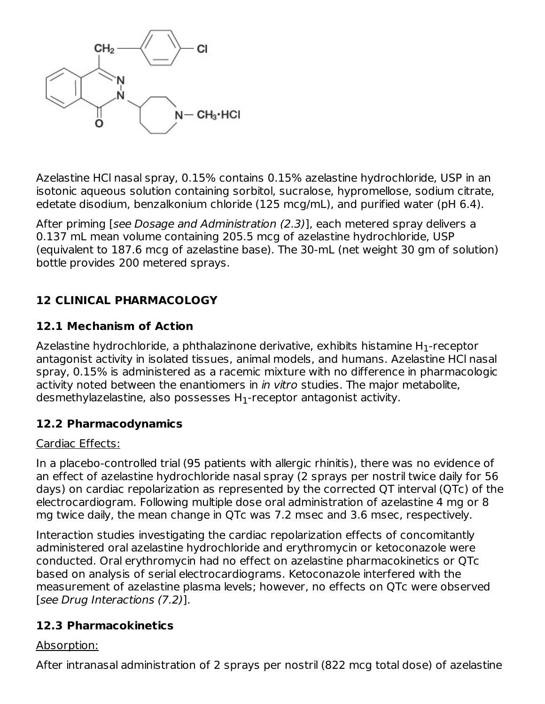

Azelastine HCl nasal spray, 0.15% contains 0.15% azelastine hydrochloride, USP in an isotonic aqueous solution containing sorbitol, sucralose, hypromellose, sodium citrate, edetate disodium, benzalkonium chloride (125 mcg/mL), and purified water (pH 6.4).

After priming [see Dosage and Administration (2.3)], each metered spray delivers a 0.137 mL mean volume containing 205.5 mcg of azelastine hydrochloride, USP (equivalent to 187.6 mcg of azelastine base). The 30-mL (net weight 30 gm of solution) bottle provides 200 metered sprays.

# **12 CLINICAL PHARMACOLOGY**

### **12.1 Mechanism of Action**

Azelastine hydrochloride, a phthalazinone derivative, exhibits histamine H $_{\rm 1}$ -receptor antagonist activity in isolated tissues, animal models, and humans. Azelastine HCl nasal spray, 0.15% is administered as a racemic mixture with no difference in pharmacologic activity noted between the enantiomers in in vitro studies. The major metabolite, desmethylazelastine, also possesses  ${\sf H}_1$ -receptor antagonist activity.

#### **12.2 Pharmacodynamics**

#### Cardiac Effects:

In a placebo-controlled trial (95 patients with allergic rhinitis), there was no evidence of an effect of azelastine hydrochloride nasal spray (2 sprays per nostril twice daily for 56 days) on cardiac repolarization as represented by the corrected QT interval (QTc) of the electrocardiogram. Following multiple dose oral administration of azelastine 4 mg or 8 mg twice daily, the mean change in QTc was 7.2 msec and 3.6 msec, respectively.

Interaction studies investigating the cardiac repolarization effects of concomitantly administered oral azelastine hydrochloride and erythromycin or ketoconazole were conducted. Oral erythromycin had no effect on azelastine pharmacokinetics or QTc based on analysis of serial electrocardiograms. Ketoconazole interfered with the measurement of azelastine plasma levels; however, no effects on QTc were observed [see Drug Interactions (7.2)].

### **12.3 Pharmacokinetics**

#### Absorption:

After intranasal administration of 2 sprays per nostril (822 mcg total dose) of azelastine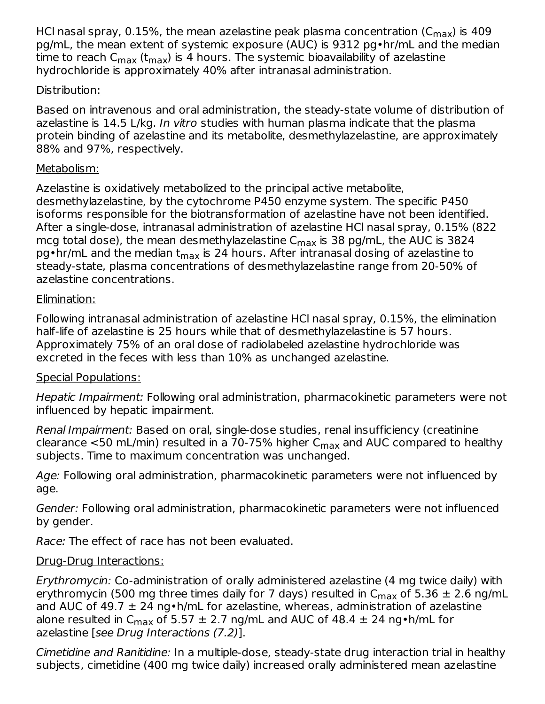HCl nasal spray, 0.15%, the mean azelastine peak plasma concentration (C $_{\sf max}$ ) is 409 pg/mL, the mean extent of systemic exposure (AUC) is 9312 pg•hr/mL and the median time to reach C<sub>max</sub> (t<sub>max</sub>) is 4 hours. The systemic bioavailability of azelastine hydrochloride is approximately 40% after intranasal administration.

### Distribution:

Based on intravenous and oral administration, the steady-state volume of distribution of azelastine is 14.5 L/kg. In vitro studies with human plasma indicate that the plasma protein binding of azelastine and its metabolite, desmethylazelastine, are approximately 88% and 97%, respectively.

### Metabolism:

Azelastine is oxidatively metabolized to the principal active metabolite, desmethylazelastine, by the cytochrome P450 enzyme system. The specific P450 isoforms responsible for the biotransformation of azelastine have not been identified. After a single-dose, intranasal administration of azelastine HCl nasal spray, 0.15% (822 mcg total dose), the mean desmethylazelastine C $_{\sf max}$  is 38 pg/mL, the AUC is 3824 pg•hr/mL and the median t<sub>max</sub> is 24 hours. After intranasal dosing of azelastine to steady-state, plasma concentrations of desmethylazelastine range from 20-50% of azelastine concentrations.

### Elimination:

Following intranasal administration of azelastine HCl nasal spray, 0.15%, the elimination half-life of azelastine is 25 hours while that of desmethylazelastine is 57 hours. Approximately 75% of an oral dose of radiolabeled azelastine hydrochloride was excreted in the feces with less than 10% as unchanged azelastine.

### Special Populations:

Hepatic Impairment: Following oral administration, pharmacokinetic parameters were not influenced by hepatic impairment.

Renal Impairment: Based on oral, single-dose studies, renal insufficiency (creatinine clearance <50 mL/min) resulted in a 70-75% higher C<sub>max</sub> and AUC compared to healthy subjects. Time to maximum concentration was unchanged.

Age: Following oral administration, pharmacokinetic parameters were not influenced by age.

Gender: Following oral administration, pharmacokinetic parameters were not influenced by gender.

Race: The effect of race has not been evaluated.

# Drug-Drug Interactions:

Erythromycin: Co-administration of orally administered azelastine (4 mg twice daily) with erythromycin (500 mg three times daily for 7 days) resulted in  $\mathsf{C}_{\mathsf{max}}$  of 5.36  $\pm$  2.6 ng/mL and AUC of 49.7  $\pm$  24 ng • h/mL for azelastine, whereas, administration of azelastine alone resulted in C<sub>max</sub> of 5.57  $\pm$  2.7 ng/mL and AUC of 48.4  $\pm$  24 ng•h/mL for azelastine [see Drug Interactions (7.2)].

Cimetidine and Ranitidine: In a multiple-dose, steady-state drug interaction trial in healthy subjects, cimetidine (400 mg twice daily) increased orally administered mean azelastine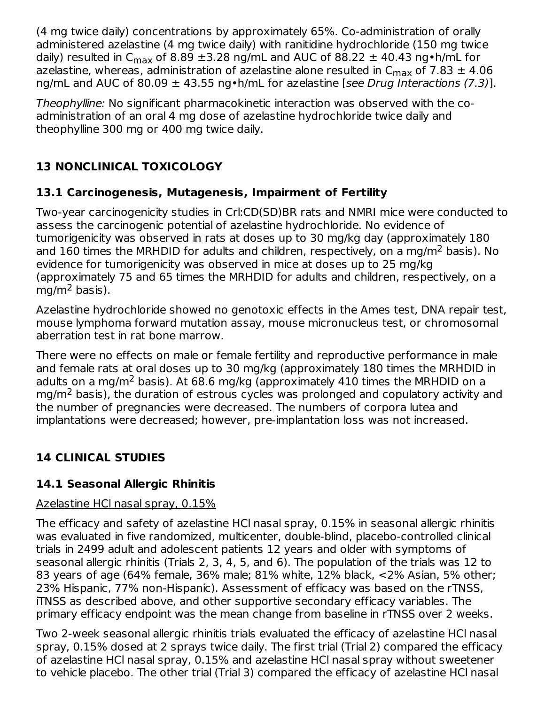(4 mg twice daily) concentrations by approximately 65%. Co-administration of orally administered azelastine (4 mg twice daily) with ranitidine hydrochloride (150 mg twice daily) resulted in C<sub>max</sub> of 8.89  $\pm$ 3.28 ng/mL and AUC of 88.22  $\pm$  40.43 ng•h/mL for azelastine, whereas, administration of azelastine alone resulted in  $\mathsf{C}_{\mathsf{max}}$  of 7.83  $\pm$  4.06 ng/mL and AUC of 80.09  $\pm$  43.55 ng•h/mL for azelastine [see Drug Interactions (7.3)].

Theophylline: No significant pharmacokinetic interaction was observed with the coadministration of an oral 4 mg dose of azelastine hydrochloride twice daily and theophylline 300 mg or 400 mg twice daily.

# **13 NONCLINICAL TOXICOLOGY**

# **13.1 Carcinogenesis, Mutagenesis, Impairment of Fertility**

Two-year carcinogenicity studies in Crl:CD(SD)BR rats and NMRI mice were conducted to assess the carcinogenic potential of azelastine hydrochloride. No evidence of tumorigenicity was observed in rats at doses up to 30 mg/kg day (approximately 180 and 160 times the MRHDID for adults and children, respectively, on a mg/m<sup>2</sup> basis). No evidence for tumorigenicity was observed in mice at doses up to 25 mg/kg (approximately 75 and 65 times the MRHDID for adults and children, respectively, on a mg/m<sup>2</sup> basis).

Azelastine hydrochloride showed no genotoxic effects in the Ames test, DNA repair test, mouse lymphoma forward mutation assay, mouse micronucleus test, or chromosomal aberration test in rat bone marrow.

There were no effects on male or female fertility and reproductive performance in male and female rats at oral doses up to 30 mg/kg (approximately 180 times the MRHDID in adults on a mg/m<sup>2</sup> basis). At 68.6 mg/kg (approximately 410 times the MRHDID on a  $mg/m<sup>2</sup>$  basis), the duration of estrous cycles was prolonged and copulatory activity and the number of pregnancies were decreased. The numbers of corpora lutea and implantations were decreased; however, pre-implantation loss was not increased.

# **14 CLINICAL STUDIES**

# **14.1 Seasonal Allergic Rhinitis**

### Azelastine HCl nasal spray, 0.15%

The efficacy and safety of azelastine HCl nasal spray, 0.15% in seasonal allergic rhinitis was evaluated in five randomized, multicenter, double-blind, placebo-controlled clinical trials in 2499 adult and adolescent patients 12 years and older with symptoms of seasonal allergic rhinitis (Trials 2, 3, 4, 5, and 6). The population of the trials was 12 to 83 years of age (64% female, 36% male; 81% white, 12% black, <2% Asian, 5% other; 23% Hispanic, 77% non-Hispanic). Assessment of efficacy was based on the rTNSS, iTNSS as described above, and other supportive secondary efficacy variables. The primary efficacy endpoint was the mean change from baseline in rTNSS over 2 weeks.

Two 2-week seasonal allergic rhinitis trials evaluated the efficacy of azelastine HCl nasal spray, 0.15% dosed at 2 sprays twice daily. The first trial (Trial 2) compared the efficacy of azelastine HCl nasal spray, 0.15% and azelastine HCl nasal spray without sweetener to vehicle placebo. The other trial (Trial 3) compared the efficacy of azelastine HCl nasal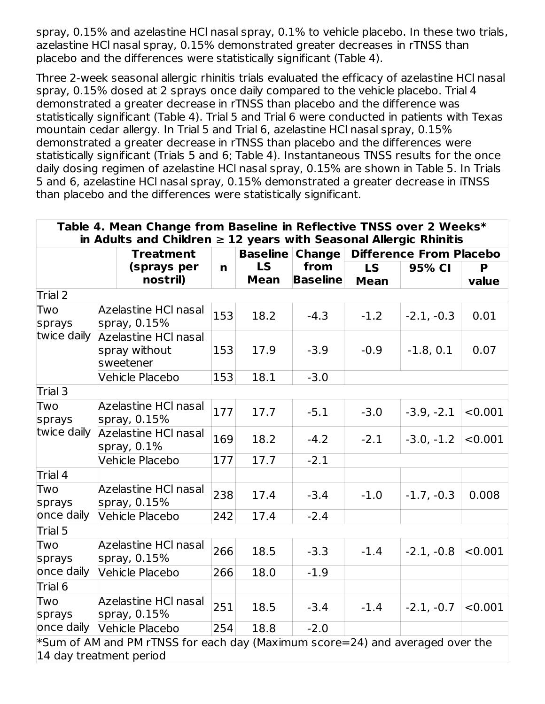spray, 0.15% and azelastine HCl nasal spray, 0.1% to vehicle placebo. In these two trials, azelastine HCl nasal spray, 0.15% demonstrated greater decreases in rTNSS than placebo and the differences were statistically significant (Table 4).

Three 2-week seasonal allergic rhinitis trials evaluated the efficacy of azelastine HCl nasal spray, 0.15% dosed at 2 sprays once daily compared to the vehicle placebo. Trial 4 demonstrated a greater decrease in rTNSS than placebo and the difference was statistically significant (Table 4). Trial 5 and Trial 6 were conducted in patients with Texas mountain cedar allergy. In Trial 5 and Trial 6, azelastine HCl nasal spray, 0.15% demonstrated a greater decrease in rTNSS than placebo and the differences were statistically significant (Trials 5 and 6; Table 4). Instantaneous TNSS results for the once daily dosing regimen of azelastine HCl nasal spray, 0.15% are shown in Table 5. In Trials 5 and 6, azelastine HCl nasal spray, 0.15% demonstrated a greater decrease in iTNSS than placebo and the differences were statistically significant.

| Table 4. Mean Change from Baseline in Reflective TNSS over 2 Weeks*<br>in Adults and Children $\geq 12$ years with Seasonal Allergic Rhinitis |  |                                                                                  |     |                          |                         |                          |                                |            |
|-----------------------------------------------------------------------------------------------------------------------------------------------|--|----------------------------------------------------------------------------------|-----|--------------------------|-------------------------|--------------------------|--------------------------------|------------|
| <b>Treatment</b>                                                                                                                              |  |                                                                                  |     | <b>Baseline</b>          | <b>Change</b>           |                          | <b>Difference From Placebo</b> |            |
|                                                                                                                                               |  | (sprays per<br>nostril)                                                          | n   | <b>LS</b><br><b>Mean</b> | from<br><b>Baseline</b> | <b>LS</b><br><b>Mean</b> | 95% CI                         | P<br>value |
| Trial 2                                                                                                                                       |  |                                                                                  |     |                          |                         |                          |                                |            |
| Two<br>sprays                                                                                                                                 |  | Azelastine HCI nasal<br>spray, 0.15%                                             | 153 | 18.2                     | $-4.3$                  | $-1.2$                   | $-2.1, -0.3$                   | 0.01       |
| twice daily                                                                                                                                   |  | Azelastine HCI nasal<br>spray without<br>sweetener                               | 153 | 17.9                     | $-3.9$                  | $-0.9$                   | $-1.8, 0.1$                    | 0.07       |
|                                                                                                                                               |  | Vehicle Placebo                                                                  | 153 | 18.1                     | $-3.0$                  |                          |                                |            |
| Trial 3                                                                                                                                       |  |                                                                                  |     |                          |                         |                          |                                |            |
| Two<br>sprays                                                                                                                                 |  | Azelastine HCI nasal<br>spray, 0.15%                                             |     | 17.7                     | $-5.1$                  | $-3.0$                   | $-3.9, -2.1$                   | < 0.001    |
| twice daily                                                                                                                                   |  | Azelastine HCI nasal<br>spray, $0.1\%$                                           |     | 18.2                     | $-4.2$                  | $-2.1$                   | $-3.0, -1.2$                   | < 0.001    |
|                                                                                                                                               |  | Vehicle Placebo                                                                  | 177 | 17.7                     | $-2.1$                  |                          |                                |            |
| Trial 4                                                                                                                                       |  |                                                                                  |     |                          |                         |                          |                                |            |
| Two<br>sprays                                                                                                                                 |  | <b>Azelastine HCI nasal</b><br>spray, 0.15%                                      |     | 17.4                     | $-3.4$                  | $-1.0$                   | $-1.7, -0.3$                   | 0.008      |
| once daily                                                                                                                                    |  | Vehicle Placebo                                                                  | 242 | 17.4                     | $-2.4$                  |                          |                                |            |
| Trial 5                                                                                                                                       |  |                                                                                  |     |                          |                         |                          |                                |            |
| Two<br>sprays                                                                                                                                 |  | <b>Azelastine HCI nasal</b><br>spray, 0.15%                                      | 266 | 18.5                     | $-3.3$                  | $-1.4$                   | $-2.1, -0.8$                   | < 0.001    |
| once daily                                                                                                                                    |  | Vehicle Placebo                                                                  | 266 | 18.0                     | $-1.9$                  |                          |                                |            |
| Trial 6                                                                                                                                       |  |                                                                                  |     |                          |                         |                          |                                |            |
| Two<br>sprays                                                                                                                                 |  | <b>Azelastine HCI nasal</b><br>spray, 0.15%                                      | 251 | 18.5                     | $-3.4$                  | $-1.4$                   | $-2.1, -0.7$                   | < 0.001    |
| once daily                                                                                                                                    |  | Vehicle Placebo                                                                  | 254 | 18.8                     | $-2.0$                  |                          |                                |            |
| 14 day treatment period                                                                                                                       |  | $*$ Sum of AM and PM rTNSS for each day (Maximum score=24) and averaged over the |     |                          |                         |                          |                                |            |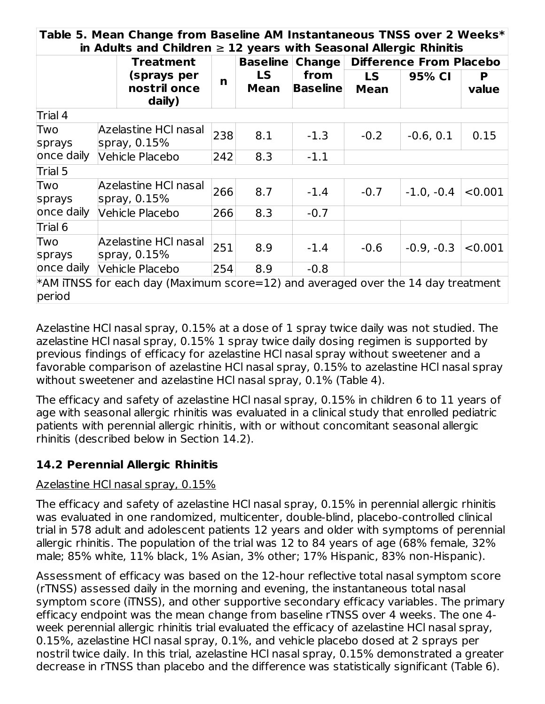|               | in Adults and Children $\geq 12$ years with Seasonal Allergic Rhinitis<br><b>Treatment</b> |     | <b>Baseline</b> | <b>Change</b>     |                          | <b>Difference From Placebo</b> |            |
|---------------|--------------------------------------------------------------------------------------------|-----|-----------------|-------------------|--------------------------|--------------------------------|------------|
|               | (sprays per<br>nostril once<br>daily)                                                      | n   | LS.<br>Mean     | from<br> Baseline | <b>LS</b><br><b>Mean</b> | 95% CI                         | P<br>value |
| Trial 4       |                                                                                            |     |                 |                   |                          |                                |            |
| Two<br>sprays | Azelastine HCI nasal<br>spray, $0.15%$                                                     | 238 | 8.1             | $-1.3$            | $-0.2$                   | $-0.6, 0.1$                    | 0.15       |
| once daily    | Vehicle Placebo                                                                            | 242 | 8.3             | $-1.1$            |                          |                                |            |
| Trial 5       |                                                                                            |     |                 |                   |                          |                                |            |
| Two<br>sprays | Azelastine HCl nasal<br>spray, $0.15%$                                                     | 266 | 8.7             | $-1.4$            | $-0.7$                   | $-1.0, -0.4$                   | < 0.001    |
| once daily    | <b>Vehicle Placebo</b>                                                                     | 266 | 8.3             | $-0.7$            |                          |                                |            |
| Trial 6       |                                                                                            |     |                 |                   |                          |                                |            |
| Two<br>sprays | Azelastine HCl nasal<br>spray, 0.15%                                                       | 251 | 8.9             | $-1.4$            | $-0.6$                   | $-0.9, -0.3$                   | < 0.001    |
| once daily    | Vehicle Placebo                                                                            | 254 | 8.9             | $-0.8$            |                          |                                |            |

Azelastine HCl nasal spray, 0.15% at a dose of 1 spray twice daily was not studied. The azelastine HCl nasal spray, 0.15% 1 spray twice daily dosing regimen is supported by previous findings of efficacy for azelastine HCl nasal spray without sweetener and a favorable comparison of azelastine HCl nasal spray, 0.15% to azelastine HCl nasal spray without sweetener and azelastine HCl nasal spray, 0.1% (Table 4).

The efficacy and safety of azelastine HCl nasal spray, 0.15% in children 6 to 11 years of age with seasonal allergic rhinitis was evaluated in a clinical study that enrolled pediatric patients with perennial allergic rhinitis, with or without concomitant seasonal allergic rhinitis (described below in Section 14.2).

# **14.2 Perennial Allergic Rhinitis**

### Azelastine HCl nasal spray, 0.15%

The efficacy and safety of azelastine HCl nasal spray, 0.15% in perennial allergic rhinitis was evaluated in one randomized, multicenter, double-blind, placebo-controlled clinical trial in 578 adult and adolescent patients 12 years and older with symptoms of perennial allergic rhinitis. The population of the trial was 12 to 84 years of age (68% female, 32% male; 85% white, 11% black, 1% Asian, 3% other; 17% Hispanic, 83% non-Hispanic).

Assessment of efficacy was based on the 12-hour reflective total nasal symptom score (rTNSS) assessed daily in the morning and evening, the instantaneous total nasal symptom score (iTNSS), and other supportive secondary efficacy variables. The primary efficacy endpoint was the mean change from baseline rTNSS over 4 weeks. The one 4 week perennial allergic rhinitis trial evaluated the efficacy of azelastine HCl nasal spray, 0.15%, azelastine HCl nasal spray, 0.1%, and vehicle placebo dosed at 2 sprays per nostril twice daily. In this trial, azelastine HCl nasal spray, 0.15% demonstrated a greater decrease in rTNSS than placebo and the difference was statistically significant (Table 6).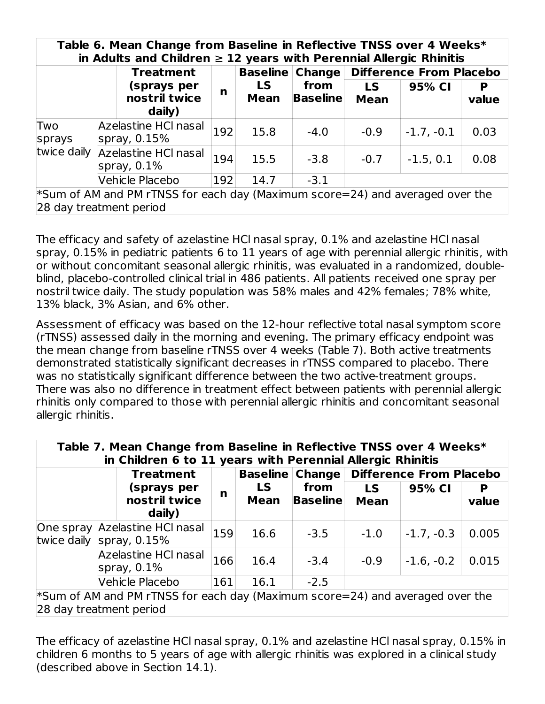|                         |                  | Table 6. Mean Change from Baseline in Reflective TNSS over 4 Weeks*<br>in Adults and Children $\geq 12$ years with Perennial Allergic Rhinitis |     |                        |                         |                          |                                |            |
|-------------------------|------------------|------------------------------------------------------------------------------------------------------------------------------------------------|-----|------------------------|-------------------------|--------------------------|--------------------------------|------------|
|                         | <b>Treatment</b> |                                                                                                                                                |     | <b>Baseline Change</b> |                         |                          | <b>Difference From Placebo</b> |            |
|                         |                  | (sprays per<br>nostril twice<br>daily)                                                                                                         | n   | LS<br><b>Mean</b>      | from<br><b>Baseline</b> | <b>LS</b><br><b>Mean</b> | 95% CI                         | P<br>value |
| Two<br>sprays           |                  | Azelastine HCI nasal<br>spray, $0.15\%$                                                                                                        | 192 | 15.8                   | $-4.0$                  | $-0.9$                   | $-1.7, -0.1$                   | 0.03       |
| twice daily             |                  | Azelastine HCI nasal<br>spray, $0.1\%$                                                                                                         |     | 194<br>15.5            | $-3.8$                  | $-0.7$                   | $-1.5, 0.1$                    | 0.08       |
|                         |                  | Vehicle Placebo                                                                                                                                |     | 192<br>14.7            | $-3.1$                  |                          |                                |            |
| 28 day treatment period |                  | $*$ Sum of AM and PM rTNSS for each day (Maximum score=24) and averaged over the                                                               |     |                        |                         |                          |                                |            |

The efficacy and safety of azelastine HCl nasal spray, 0.1% and azelastine HCl nasal spray, 0.15% in pediatric patients 6 to 11 years of age with perennial allergic rhinitis, with or without concomitant seasonal allergic rhinitis, was evaluated in a randomized, doubleblind, placebo-controlled clinical trial in 486 patients. All patients received one spray per nostril twice daily. The study population was 58% males and 42% females; 78% white, 13% black, 3% Asian, and 6% other.

Assessment of efficacy was based on the 12-hour reflective total nasal symptom score (rTNSS) assessed daily in the morning and evening. The primary efficacy endpoint was the mean change from baseline rTNSS over 4 weeks (Table 7). Both active treatments demonstrated statistically significant decreases in rTNSS compared to placebo. There was no statistically significant difference between the two active-treatment groups. There was also no difference in treatment effect between patients with perennial allergic rhinitis only compared to those with perennial allergic rhinitis and concomitant seasonal allergic rhinitis.

|                          |                                        | Table 7. Mean Change from Baseline in Reflective TNSS over 4 Weeks*<br>in Children 6 to 11 years with Perennial Allergic Rhinitis |     |                        |                         |                                |              |            |
|--------------------------|----------------------------------------|-----------------------------------------------------------------------------------------------------------------------------------|-----|------------------------|-------------------------|--------------------------------|--------------|------------|
|                          |                                        | <b>Treatment</b>                                                                                                                  |     | <b>Baseline Change</b> |                         | <b>Difference From Placebo</b> |              |            |
|                          |                                        | (sprays per<br>nostril twice<br>daily)                                                                                            | n   | LS.<br><b>Mean</b>     | from<br><b>Baseline</b> | LS.<br><b>Mean</b>             | 95% CI       | P<br>value |
| One spray<br>twice daily | Azelastine HCI nasal<br>spray, $0.15%$ |                                                                                                                                   | 159 | 16.6                   | $-3.5$                  | $-1.0$                         | $-1.7, -0.3$ | 0.005      |
|                          |                                        | <b>Azelastine HCI nasal</b><br>spray, $0.1\%$                                                                                     | 166 | 16.4                   | $-3.4$                  | $-0.9$                         | $-1.6, -0.2$ | 0.015      |
|                          |                                        | <b>Vehicle Placebo</b>                                                                                                            | 161 | 16.1                   | $-2.5$                  |                                |              |            |
|                          |                                        | $*$ Sum of AM and PM rTNSS for each day (Maximum score=24) and averaged over the                                                  |     |                        |                         |                                |              |            |

28 day treatment period

The efficacy of azelastine HCl nasal spray, 0.1% and azelastine HCl nasal spray, 0.15% in children 6 months to 5 years of age with allergic rhinitis was explored in a clinical study (described above in Section 14.1).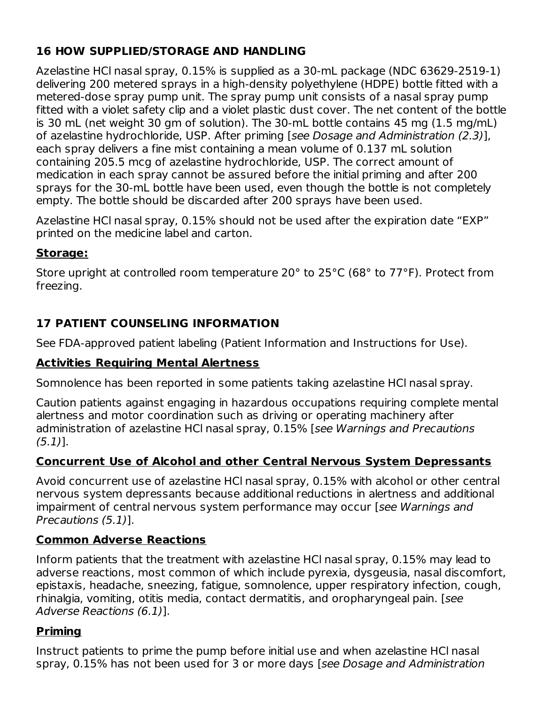# **16 HOW SUPPLIED/STORAGE AND HANDLING**

Azelastine HCl nasal spray, 0.15% is supplied as a 30-mL package (NDC 63629-2519-1) delivering 200 metered sprays in a high-density polyethylene (HDPE) bottle fitted with a metered-dose spray pump unit. The spray pump unit consists of a nasal spray pump fitted with a violet safety clip and a violet plastic dust cover. The net content of the bottle is 30 mL (net weight 30 gm of solution). The 30-mL bottle contains 45 mg (1.5 mg/mL) of azelastine hydrochloride, USP. After priming [see Dosage and Administration (2.3)], each spray delivers a fine mist containing a mean volume of 0.137 mL solution containing 205.5 mcg of azelastine hydrochloride, USP. The correct amount of medication in each spray cannot be assured before the initial priming and after 200 sprays for the 30-mL bottle have been used, even though the bottle is not completely empty. The bottle should be discarded after 200 sprays have been used.

Azelastine HCl nasal spray, 0.15% should not be used after the expiration date "EXP" printed on the medicine label and carton.

# **Storage:**

Store upright at controlled room temperature 20° to 25°C (68° to 77°F). Protect from freezing.

# **17 PATIENT COUNSELING INFORMATION**

See FDA-approved patient labeling (Patient Information and Instructions for Use).

# **Activities Requiring Mental Alertness**

Somnolence has been reported in some patients taking azelastine HCl nasal spray.

Caution patients against engaging in hazardous occupations requiring complete mental alertness and motor coordination such as driving or operating machinery after administration of azelastine HCl nasal spray, 0.15% [see Warnings and Precautions (5.1)].

# **Concurrent Use of Alcohol and other Central Nervous System Depressants**

Avoid concurrent use of azelastine HCl nasal spray, 0.15% with alcohol or other central nervous system depressants because additional reductions in alertness and additional impairment of central nervous system performance may occur [see Warnings and Precautions (5.1)].

# **Common Adverse Reactions**

Inform patients that the treatment with azelastine HCl nasal spray, 0.15% may lead to adverse reactions, most common of which include pyrexia, dysgeusia, nasal discomfort, epistaxis, headache, sneezing, fatigue, somnolence, upper respiratory infection, cough, rhinalgia, vomiting, otitis media, contact dermatitis, and oropharyngeal pain. [see Adverse Reactions (6.1)].

# **Priming**

Instruct patients to prime the pump before initial use and when azelastine HCl nasal spray, 0.15% has not been used for 3 or more days [see Dosage and Administration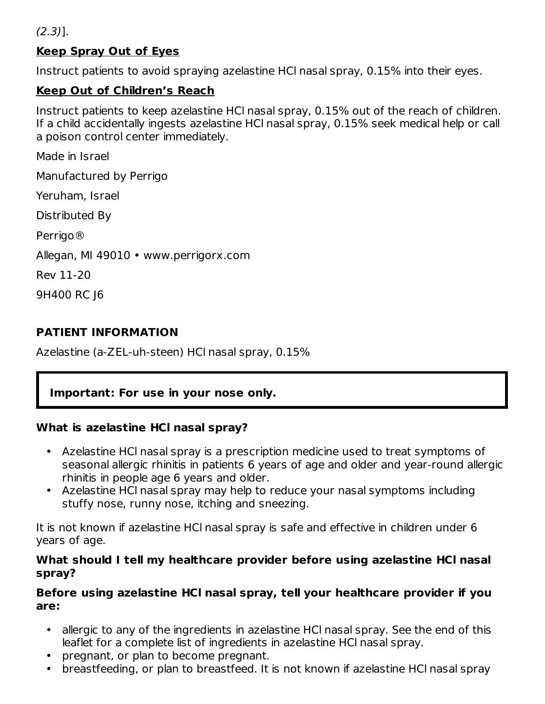(2.3)].

### **Keep Spray Out of Eyes**

Instruct patients to avoid spraying azelastine HCl nasal spray, 0.15% into their eyes.

### **Keep Out of Children's Reach**

Instruct patients to keep azelastine HCl nasal spray, 0.15% out of the reach of children. If a child accidentally ingests azelastine HCl nasal spray, 0.15% seek medical help or call a poison control center immediately.

Made in Israel

Manufactured by Perrigo

Yeruham, Israel

Distributed By

Perrigo®

Allegan, MI 49010 • www.perrigorx.com

Rev 11-20

9H400 RC J6

### **PATIENT INFORMATION**

Azelastine (a-ZEL-uh-steen) HCl nasal spray, 0.15%

### **Important: For use in your nose only.**

#### **What is azelastine HCl nasal spray?**

- Azelastine HCl nasal spray is a prescription medicine used to treat symptoms of seasonal allergic rhinitis in patients 6 years of age and older and year-round allergic rhinitis in people age 6 years and older.
- Azelastine HCl nasal spray may help to reduce your nasal symptoms including stuffy nose, runny nose, itching and sneezing.

It is not known if azelastine HCl nasal spray is safe and effective in children under 6 years of age.

#### **What should I tell my healthcare provider before using azelastine HCl nasal spray?**

#### **Before using azelastine HCl nasal spray, tell your healthcare provider if you are:**

- allergic to any of the ingredients in azelastine HCl nasal spray. See the end of this leaflet for a complete list of ingredients in azelastine HCl nasal spray.
- pregnant, or plan to become pregnant.
- breastfeeding, or plan to breastfeed. It is not known if azelastine HCl nasal spray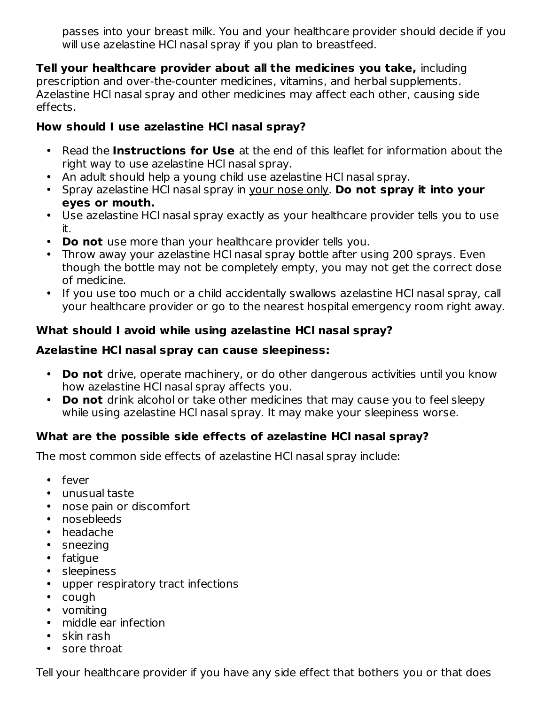passes into your breast milk. You and your healthcare provider should decide if you will use azelastine HCl nasal spray if you plan to breastfeed.

**Tell your healthcare provider about all the medicines you take,** including prescription and over-the-counter medicines, vitamins, and herbal supplements. Azelastine HCl nasal spray and other medicines may affect each other, causing side effects.

### **How should I use azelastine HCl nasal spray?**

- Read the **Instructions for Use** at the end of this leaflet for information about the right way to use azelastine HCl nasal spray.
- An adult should help a young child use azelastine HCl nasal spray.
- Spray azelastine HCl nasal spray in your nose only. **Do not spray it into your eyes or mouth.**
- Use azelastine HCl nasal spray exactly as your healthcare provider tells you to use it.
- **Do not** use more than your healthcare provider tells you.
- Throw away your azelastine HCl nasal spray bottle after using 200 sprays. Even though the bottle may not be completely empty, you may not get the correct dose of medicine.
- If you use too much or a child accidentally swallows azelastine HCl nasal spray, call your healthcare provider or go to the nearest hospital emergency room right away.

### **What should I avoid while using azelastine HCl nasal spray?**

### **Azelastine HCl nasal spray can cause sleepiness:**

- **Do not** drive, operate machinery, or do other dangerous activities until you know how azelastine HCl nasal spray affects you.
- **Do not** drink alcohol or take other medicines that may cause you to feel sleepy while using azelastine HCl nasal spray. It may make your sleepiness worse.

### **What are the possible side effects of azelastine HCl nasal spray?**

The most common side effects of azelastine HCl nasal spray include:

- fever
- unusual taste
- nose pain or discomfort
- nosebleeds
- headache
- sneezing
- fatigue
- sleepiness
- upper respiratory tract infections
- cough
- vomiting
- middle ear infection
- skin rash
- sore throat

Tell your healthcare provider if you have any side effect that bothers you or that does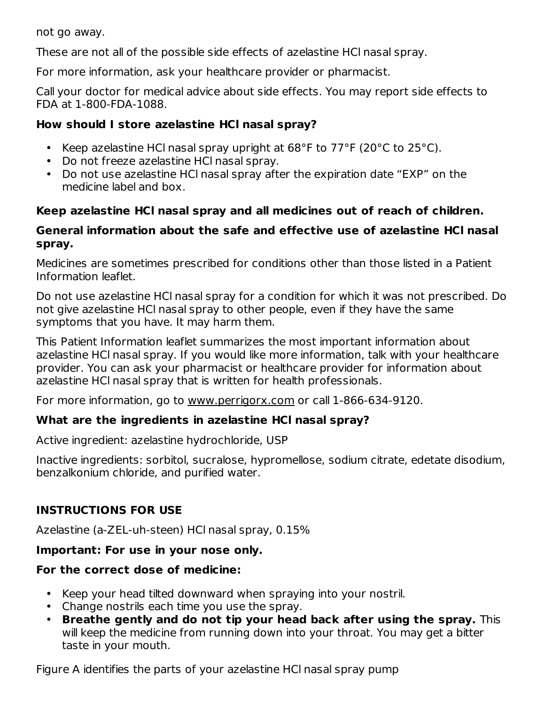not go away.

These are not all of the possible side effects of azelastine HCl nasal spray.

For more information, ask your healthcare provider or pharmacist.

Call your doctor for medical advice about side effects. You may report side effects to FDA at 1-800-FDA-1088.

## **How should I store azelastine HCl nasal spray?**

- Keep azelastine HCl nasal spray upright at 68°F to 77°F (20°C to 25°C).
- Do not freeze azelastine HCl nasal spray.
- Do not use azelastine HCl nasal spray after the expiration date "EXP" on the medicine label and box.

# **Keep azelastine HCl nasal spray and all medicines out of reach of children.**

## **General information about the safe and effective use of azelastine HCl nasal spray.**

Medicines are sometimes prescribed for conditions other than those listed in a Patient Information leaflet.

Do not use azelastine HCl nasal spray for a condition for which it was not prescribed. Do not give azelastine HCl nasal spray to other people, even if they have the same symptoms that you have. It may harm them.

This Patient Information leaflet summarizes the most important information about azelastine HCl nasal spray. If you would like more information, talk with your healthcare provider. You can ask your pharmacist or healthcare provider for information about azelastine HCl nasal spray that is written for health professionals.

For more information, go to www.perrigorx.com or call 1-866-634-9120.

# **What are the ingredients in azelastine HCl nasal spray?**

Active ingredient: azelastine hydrochloride, USP

Inactive ingredients: sorbitol, sucralose, hypromellose, sodium citrate, edetate disodium, benzalkonium chloride, and purified water.

# **INSTRUCTIONS FOR USE**

Azelastine (a-ZEL-uh-steen) HCl nasal spray, 0.15%

# **Important: For use in your nose only.**

# **For the correct dose of medicine:**

- Keep your head tilted downward when spraying into your nostril.
- Change nostrils each time you use the spray.
- **Breathe gently and do not tip your head back after using the spray.** This will keep the medicine from running down into your throat. You may get a bitter taste in your mouth.

Figure A identifies the parts of your azelastine HCl nasal spray pump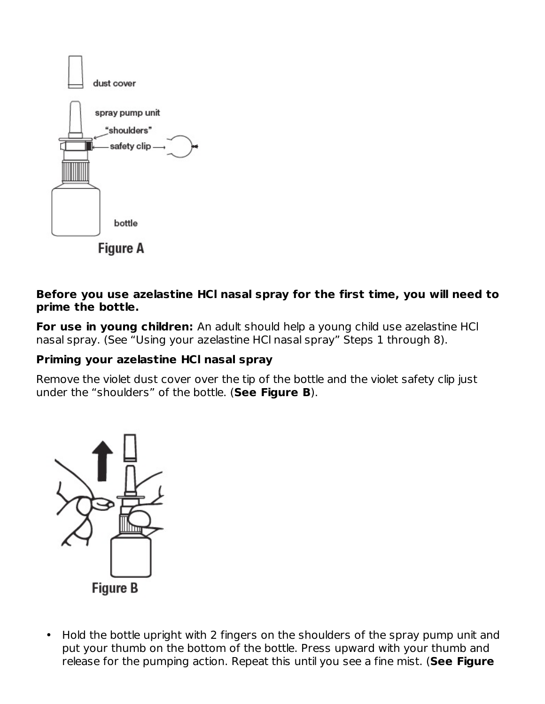

#### **Before you use azelastine HCl nasal spray for the first time, you will need to prime the bottle.**

**For use in young children:** An adult should help a young child use azelastine HCl nasal spray. (See "Using your azelastine HCl nasal spray" Steps 1 through 8).

## **Priming your azelastine HCl nasal spray**

Remove the violet dust cover over the tip of the bottle and the violet safety clip just under the "shoulders" of the bottle. (**See Figure B**).



• Hold the bottle upright with 2 fingers on the shoulders of the spray pump unit and put your thumb on the bottom of the bottle. Press upward with your thumb and release for the pumping action. Repeat this until you see a fine mist. (**See Figure**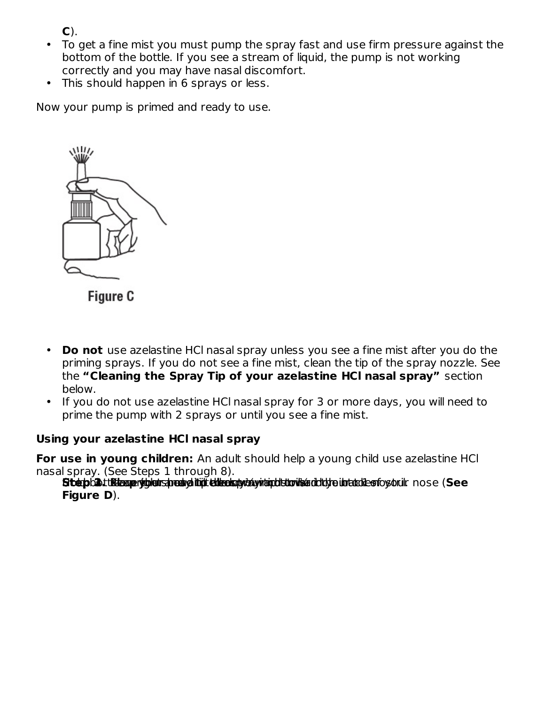**C**).

- To get a fine mist you must pump the spray fast and use firm pressure against the bottom of the bottle. If you see a stream of liquid, the pump is not working correctly and you may have nasal discomfort.
- This should happen in 6 sprays or less.

Now your pump is primed and ready to use.



Figure C

- **Do not** use azelastine HCl nasal spray unless you see a fine mist after you do the priming sprays. If you do not see a fine mist, clean the tip of the spray nozzle. See the **"Cleaning the Spray Tip of your azelastine HCl nasal spray"** section below.
- If you do not use azelastine HCl nasal spray for 3 or more days, you will need to prime the pump with 2 sprays or until you see a fine mist.

#### **Using your azelastine HCl nasal spray**

**For use in young children:** An adult should help a young child use azelastine HCl nasal spray. (See Steps 1 through 8).

Stepbalt tätesperjublerspeckya itt ellecknyda yntrodutorika ddidde intablectosorulr nose (See **Figure D**).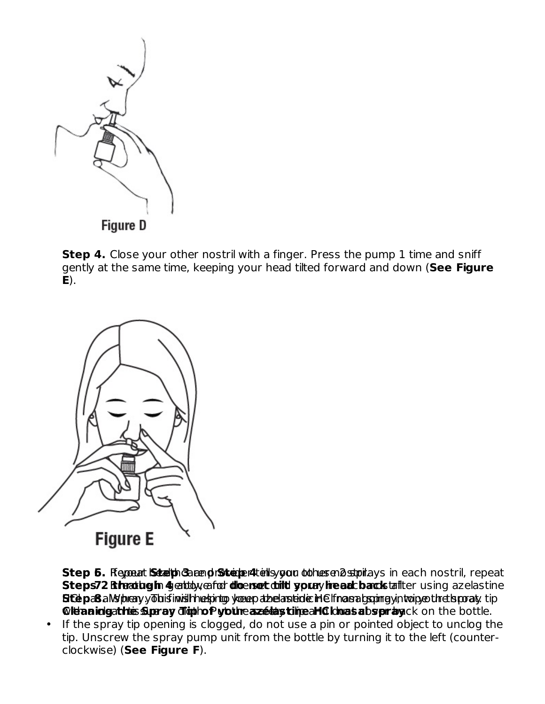

**Step 4.** Close your other nostril with a finger. Press the pump 1 time and sniff gently at the same time, keeping your head tilted forward and down (**See Figure E**).



**Step 6.** Regoeut **Steb** both carend protocole relief by your otohus end stroke you have no stril, repeat Steps72 Rhadugin 4 entbyenfor dicenset dritt youry hread back tailter using azelastine **Stépa8** a My blieny.y To huis invisible et print governance and climate in Elfnan and spread proportion by only tip **Cleanidgathis Surray digthof youne azets time all Clous abspray ck on the bottle.** 

• If the spray tip opening is clogged, do not use a pin or pointed object to unclog the tip. Unscrew the spray pump unit from the bottle by turning it to the left (counterclockwise) (**See Figure F**).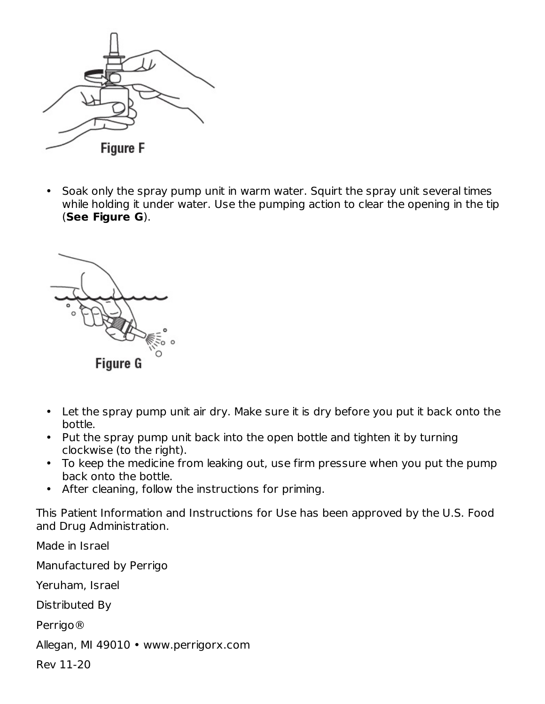

• Soak only the spray pump unit in warm water. Squirt the spray unit several times while holding it under water. Use the pumping action to clear the opening in the tip (**See Figure G**).



- Let the spray pump unit air dry. Make sure it is dry before you put it back onto the bottle.
- Put the spray pump unit back into the open bottle and tighten it by turning clockwise (to the right).
- To keep the medicine from leaking out, use firm pressure when you put the pump back onto the bottle.
- After cleaning, follow the instructions for priming.

This Patient Information and Instructions for Use has been approved by the U.S. Food and Drug Administration.

Made in Israel Manufactured by Perrigo Yeruham, Israel Distributed By Perrigo® Allegan, MI 49010 • www.perrigorx.com Rev 11-20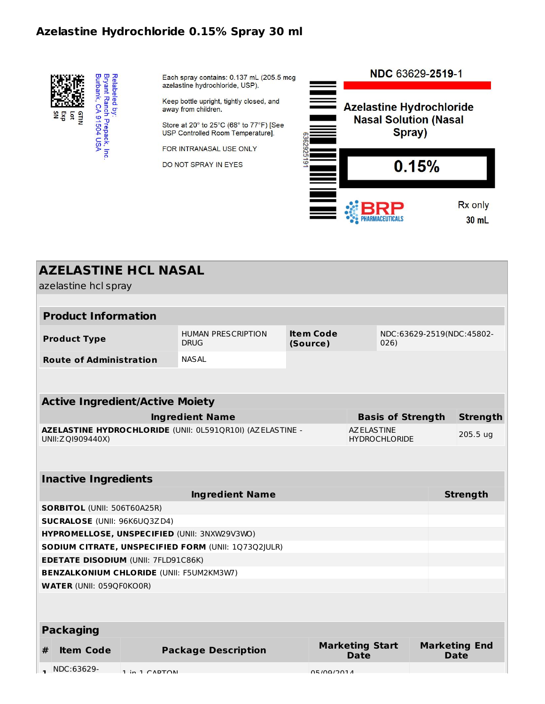## **Azelastine Hydrochloride 0.15% Spray 30 ml**



Each spray contains: 0.137 mL (205.5 mcg azelastine hydrochloride, USP).

Keep bottle upright, tightly closed, and away from children.

Store at 20° to 25°C (68° to 77°F) [See USP Controlled Room Temperature].

FOR INTRANASAL USE ONLY

DO NOT SPRAY IN EYES



|   | <b>AZELASTINE HCL NASAL</b><br>azelastine hcl spray |               |                                                                                                               |            |                                            |                          |  |                                     |  |
|---|-----------------------------------------------------|---------------|---------------------------------------------------------------------------------------------------------------|------------|--------------------------------------------|--------------------------|--|-------------------------------------|--|
|   |                                                     |               |                                                                                                               |            |                                            |                          |  |                                     |  |
|   | <b>Product Information</b>                          |               |                                                                                                               |            |                                            |                          |  |                                     |  |
|   | <b>Product Type</b>                                 |               | <b>Item Code</b><br><b>HUMAN PRESCRIPTION</b><br>NDC:63629-2519(NDC:45802-<br><b>DRUG</b><br>(Source)<br>026) |            |                                            |                          |  |                                     |  |
|   | <b>Route of Administration</b>                      |               | <b>NASAL</b>                                                                                                  |            |                                            |                          |  |                                     |  |
|   |                                                     |               |                                                                                                               |            |                                            |                          |  |                                     |  |
|   | <b>Active Ingredient/Active Moiety</b>              |               |                                                                                                               |            |                                            |                          |  |                                     |  |
|   |                                                     |               | <b>Ingredient Name</b>                                                                                        |            |                                            | <b>Basis of Strength</b> |  | <b>Strength</b>                     |  |
|   | UNII: Z QI909440X)                                  |               | AZELASTINE HYDROCHLORIDE (UNII: 0L591QR10I) (AZELASTINE -                                                     |            | <b>AZ ELASTINE</b><br><b>HYDROCHLORIDE</b> |                          |  | 205.5 ug                            |  |
|   |                                                     |               |                                                                                                               |            |                                            |                          |  |                                     |  |
|   | <b>Inactive Ingredients</b>                         |               |                                                                                                               |            |                                            |                          |  |                                     |  |
|   |                                                     |               | <b>Ingredient Name</b>                                                                                        |            |                                            |                          |  | <b>Strength</b>                     |  |
|   | <b>SORBITOL (UNII: 506T60A25R)</b>                  |               |                                                                                                               |            |                                            |                          |  |                                     |  |
|   | <b>SUCRALOSE (UNII: 96K6UQ3ZD4)</b>                 |               |                                                                                                               |            |                                            |                          |  |                                     |  |
|   |                                                     |               | HYPROMELLOSE, UNSPECIFIED (UNII: 3NXW29V3WO)                                                                  |            |                                            |                          |  |                                     |  |
|   |                                                     |               | SODIUM CITRATE, UNSPECIFIED FORM (UNII: 1Q73Q2JULR)                                                           |            |                                            |                          |  |                                     |  |
|   | <b>EDETATE DISODIUM (UNII: 7FLD91C86K)</b>          |               |                                                                                                               |            |                                            |                          |  |                                     |  |
|   | <b>BENZALKONIUM CHLORIDE (UNII: F5UM2KM3W7)</b>     |               |                                                                                                               |            |                                            |                          |  |                                     |  |
|   | <b>WATER (UNII: 059QF0KO0R)</b>                     |               |                                                                                                               |            |                                            |                          |  |                                     |  |
|   |                                                     |               |                                                                                                               |            |                                            |                          |  |                                     |  |
|   | <b>Packaging</b>                                    |               |                                                                                                               |            |                                            |                          |  |                                     |  |
| # | <b>Item Code</b>                                    |               | <b>Package Description</b>                                                                                    |            | <b>Marketing Start</b><br><b>Date</b>      |                          |  | <b>Marketing End</b><br><b>Date</b> |  |
|   | NDC:63629-                                          | 1 in 1 CADTON |                                                                                                               | 05/00/201A |                                            |                          |  |                                     |  |